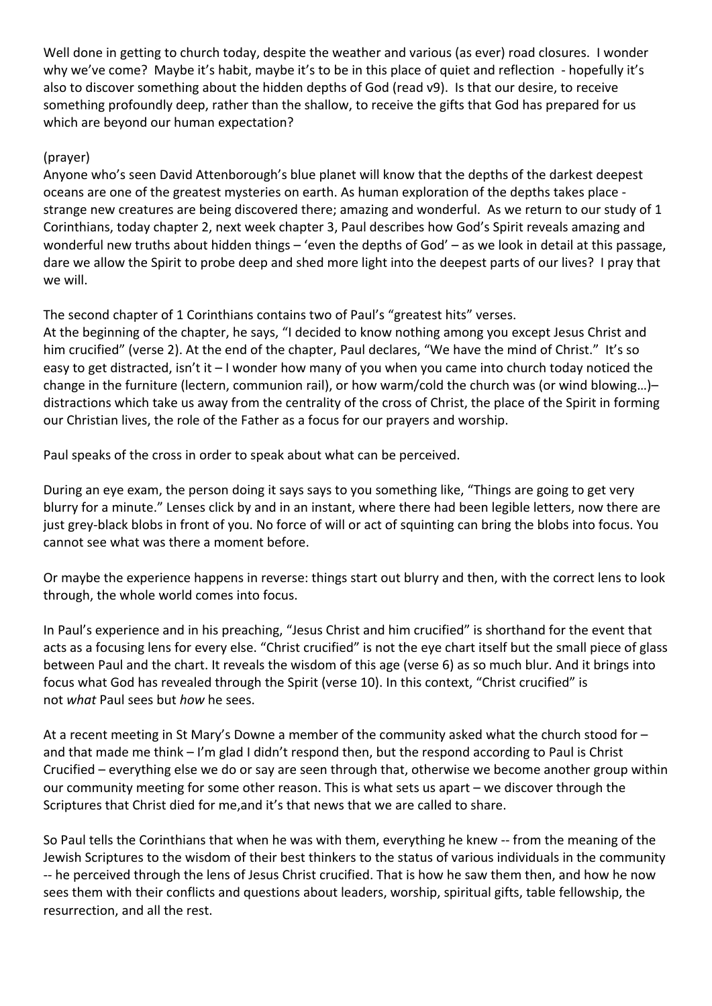Well done in getting to church today, despite the weather and various (as ever) road closures. I wonder why we've come? Maybe it's habit, maybe it's to be in this place of quiet and reflection - hopefully it's also to discover something about the hidden depths of God (read v9). Is that our desire, to receive something profoundly deep, rather than the shallow, to receive the gifts that God has prepared for us which are beyond our human expectation?

## (prayer)

Anyone who's seen David Attenborough's blue planet will know that the depths of the darkest deepest oceans are one of the greatest mysteries on earth. As human exploration of the depths takes place strange new creatures are being discovered there; amazing and wonderful. As we return to our study of 1 Corinthians, today chapter 2, next week chapter 3, Paul describes how God's Spirit reveals amazing and wonderful new truths about hidden things – 'even the depths of God' – as we look in detail at this passage, dare we allow the Spirit to probe deep and shed more light into the deepest parts of our lives? I pray that we will.

The second chapter of 1 Corinthians contains two of Paul's "greatest hits" verses.

At the beginning of the chapter, he says, "I decided to know nothing among you except Jesus Christ and him crucified" (verse 2). At the end of the chapter, Paul declares, "We have the mind of Christ." It's so easy to get distracted, isn't it – I wonder how many of you when you came into church today noticed the change in the furniture (lectern, communion rail), or how warm/cold the church was (or wind blowing…)– distractions which take us away from the centrality of the cross of Christ, the place of the Spirit in forming our Christian lives, the role of the Father as a focus for our prayers and worship.

Paul speaks of the cross in order to speak about what can be perceived.

During an eye exam, the person doing it says says to you something like, "Things are going to get very blurry for a minute." Lenses click by and in an instant, where there had been legible letters, now there are just grey-black blobs in front of you. No force of will or act of squinting can bring the blobs into focus. You cannot see what was there a moment before.

Or maybe the experience happens in reverse: things start out blurry and then, with the correct lens to look through, the whole world comes into focus.

In Paul's experience and in his preaching, "Jesus Christ and him crucified" is shorthand for the event that acts as a focusing lens for every else. "Christ crucified" is not the eye chart itself but the small piece of glass between Paul and the chart. It reveals the wisdom of this age (verse 6) as so much blur. And it brings into focus what God has revealed through the Spirit (verse 10). In this context, "Christ crucified" is not *what* Paul sees but *how* he sees.

At a recent meeting in St Mary's Downe a member of the community asked what the church stood for – and that made me think - I'm glad I didn't respond then, but the respond according to Paul is Christ Crucified – everything else we do or say are seen through that, otherwise we become another group within our community meeting for some other reason. This is what sets us apart – we discover through the Scriptures that Christ died for me,and it's that news that we are called to share.

So Paul tells the Corinthians that when he was with them, everything he knew -- from the meaning of the Jewish Scriptures to the wisdom of their best thinkers to the status of various individuals in the community -- he perceived through the lens of Jesus Christ crucified. That is how he saw them then, and how he now sees them with their conflicts and questions about leaders, worship, spiritual gifts, table fellowship, the resurrection, and all the rest.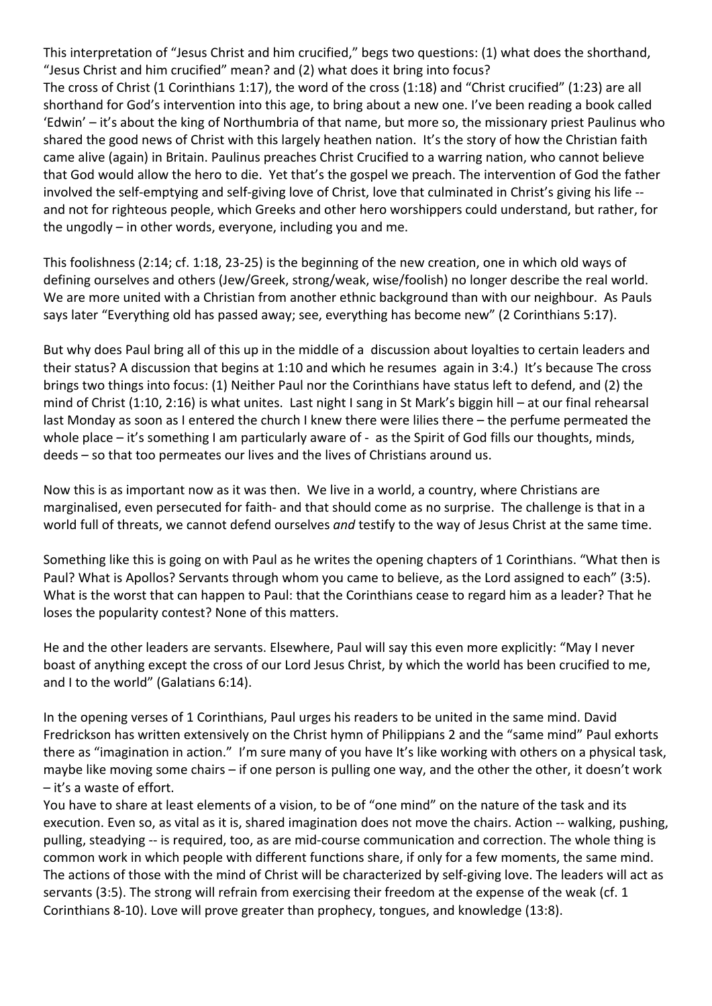This interpretation of "Jesus Christ and him crucified," begs two questions: (1) what does the shorthand, "Jesus Christ and him crucified" mean? and (2) what does it bring into focus?

The cross of Christ (1 Corinthians 1:17), the word of the cross (1:18) and "Christ crucified" (1:23) are all shorthand for God's intervention into this age, to bring about a new one. I've been reading a book called 'Edwin' – it's about the king of Northumbria of that name, but more so, the missionary priest Paulinus who shared the good news of Christ with this largely heathen nation. It's the story of how the Christian faith came alive (again) in Britain. Paulinus preaches Christ Crucified to a warring nation, who cannot believe that God would allow the hero to die. Yet that's the gospel we preach. The intervention of God the father involved the self-emptying and self-giving love of Christ, love that culminated in Christ's giving his life - and not for righteous people, which Greeks and other hero worshippers could understand, but rather, for the ungodly – in other words, everyone, including you and me.

This foolishness (2:14; cf. 1:18, 23-25) is the beginning of the new creation, one in which old ways of defining ourselves and others (Jew/Greek, strong/weak, wise/foolish) no longer describe the real world. We are more united with a Christian from another ethnic background than with our neighbour. As Pauls says later "Everything old has passed away; see, everything has become new" (2 Corinthians 5:17).

But why does Paul bring all of this up in the middle of a discussion about loyalties to certain leaders and their status? A discussion that begins at 1:10 and which he resumes again in 3:4.) It's because The cross brings two things into focus: (1) Neither Paul nor the Corinthians have status left to defend, and (2) the mind of Christ (1:10, 2:16) is what unites. Last night I sang in St Mark's biggin hill – at our final rehearsal last Monday as soon as I entered the church I knew there were lilies there – the perfume permeated the whole place – it's something I am particularly aware of - as the Spirit of God fills our thoughts, minds, deeds – so that too permeates our lives and the lives of Christians around us.

Now this is as important now as it was then. We live in a world, a country, where Christians are marginalised, even persecuted for faith- and that should come as no surprise. The challenge is that in a world full of threats, we cannot defend ourselves *and* testify to the way of Jesus Christ at the same time.

Something like this is going on with Paul as he writes the opening chapters of 1 Corinthians. "What then is Paul? What is Apollos? Servants through whom you came to believe, as the Lord assigned to each" (3:5). What is the worst that can happen to Paul: that the Corinthians cease to regard him as a leader? That he loses the popularity contest? None of this matters.

He and the other leaders are servants. Elsewhere, Paul will say this even more explicitly: "May I never boast of anything except the cross of our Lord Jesus Christ, by which the world has been crucified to me, and I to the world" (Galatians 6:14).

In the opening verses of 1 Corinthians, Paul urges his readers to be united in the same mind. David Fredrickson has written extensively on the Christ hymn of Philippians 2 and the "same mind" Paul exhorts there as "imagination in action." I'm sure many of you have It's like working with others on a physical task, maybe like moving some chairs – if one person is pulling one way, and the other the other, it doesn't work – it's a waste of effort.

You have to share at least elements of a vision, to be of "one mind" on the nature of the task and its execution. Even so, as vital as it is, shared imagination does not move the chairs. Action -- walking, pushing, pulling, steadying -- is required, too, as are mid-course communication and correction. The whole thing is common work in which people with different functions share, if only for a few moments, the same mind. The actions of those with the mind of Christ will be characterized by self-giving love. The leaders will act as servants (3:5). The strong will refrain from exercising their freedom at the expense of the weak (cf. 1 Corinthians 8-10). Love will prove greater than prophecy, tongues, and knowledge (13:8).